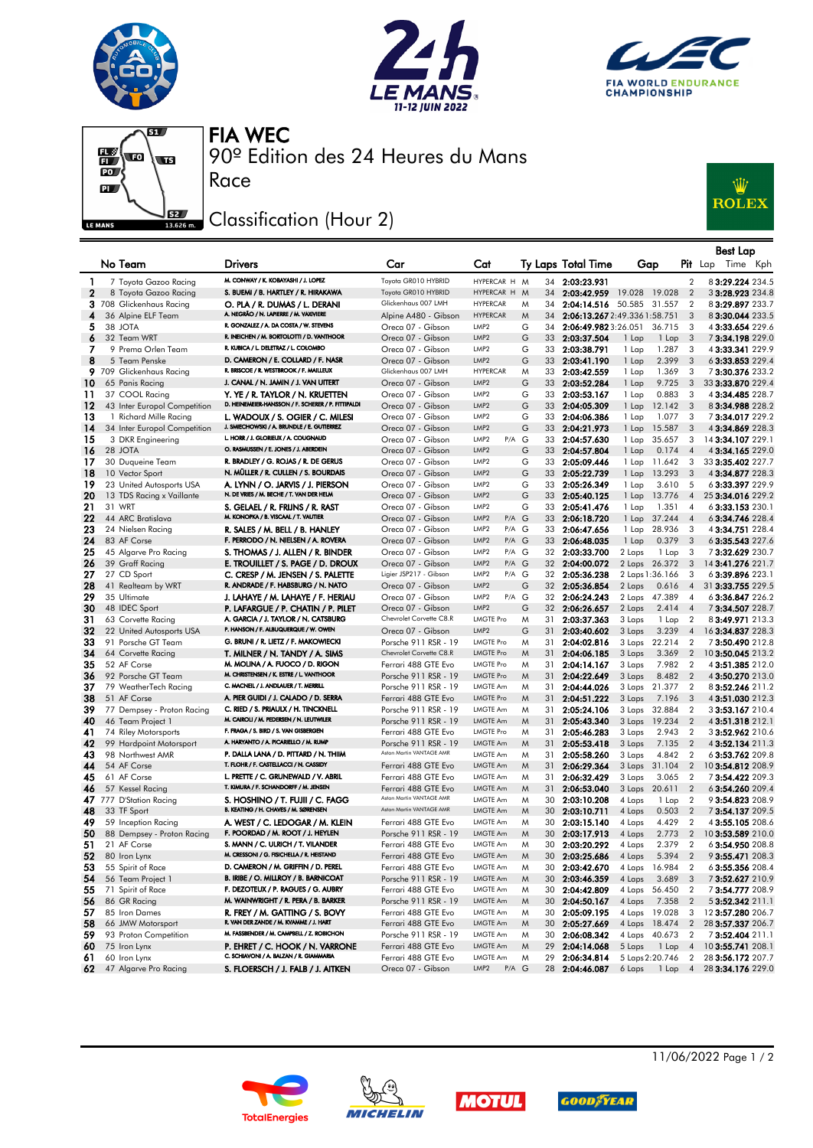







90º Edition des 24 Heures du Mans FIA WEC

## Classification (Hour 2)

Race



|              |                                                   |                                                                                     |                                                 |                                                            |              |                                  |                                  |                                            | <b>Best Lap</b>                      |
|--------------|---------------------------------------------------|-------------------------------------------------------------------------------------|-------------------------------------------------|------------------------------------------------------------|--------------|----------------------------------|----------------------------------|--------------------------------------------|--------------------------------------|
|              | No Team                                           | <b>Drivers</b>                                                                      | Car                                             | Cat                                                        |              | Ty Laps Total Time               | Gap                              |                                            | <b>Pit</b> Lap Time Kph              |
| 1            | 7 Toyota Gazoo Racing                             | M. CONWAY / K. KOBAYASHI / J. LOPEZ                                                 | Toyota GR010 HYBRID                             | HYPERCAR H M                                               |              | 34 2:03:23.931                   |                                  | $\overline{2}$                             | 83:29.224 234.5                      |
| $\mathbf{2}$ | 8 Toyota Gazoo Racing                             | S. BUEMI / B. HARTLEY / R. HIRAKAWA                                                 | Toyota GR010 HYBRID                             | HYPERCAR H M                                               |              | 34 2:03:42.959                   | 19.028 19.028                    | $\overline{2}$                             | 3 3:28.923 234.8                     |
|              | 3 708 Glickenhaus Racing                          | O. PLA / R. DUMAS / L. DERANI                                                       | Glickenhaus 007 LMH                             | <b>HYPERCAR</b>                                            | M            |                                  | 34 2:04:14.516 50.585 31.557     | $\overline{2}$                             | 83:29.897 233.7                      |
| 4            | 36 Alpine ELF Team                                | A. NEGRÃO / N. LAPIERRE / M. VAXIVIERE                                              | Alpine A480 - Gibson                            | <b>HYPERCAR</b>                                            | M<br>34      |                                  | 2:06:13.2672:49.3361:58.751      | 3                                          | 83:30.044 233.5                      |
| 5            | 38 JOTA                                           | R. GONZALEZ / A. DA COSTA / W. STEVENS<br>R. INEICHEN / M. BORTOLOTTI / D. VANTHOOR | Oreca 07 - Gibson                               | LMP <sub>2</sub>                                           | G            |                                  | 34 2:06:49.9823:26.051 36.715    | 3                                          | 43:33.654 229.6                      |
| 6            | 32 Team WRT                                       | R. KUBICA / L. DELETRAZ / L. COLOMBO                                                | Oreca 07 - Gibson                               | LMP <sub>2</sub><br>LMP <sub>2</sub>                       | G            | 33 2:03:37.504                   | 1 Lap<br>1 Lap                   | $\overline{\mathbf{3}}$                    | 73:34.198229.0                       |
| 7<br>8       | 9 Prema Orlen Team<br>5 Team Penske               | D. CAMERON / E. COLLARD / F. NASR                                                   | Oreca 07 - Gibson<br>Oreca 07 - Gibson          | LMP <sub>2</sub>                                           | G<br>G       | 33 2:03:38.791                   | 1.287<br>1 Lap                   | 3<br>3                                     | 43:33.341 229.9<br>6 3:33.853 229.4  |
|              | 9 709 Glickenhaus Racing                          | R. BRISCOE / R. WESTBROOK / F. MAILLEUX                                             | Glickenhaus 007 LMH                             | <b>HYPERCAR</b>                                            | M            | 33 2:03:41.190<br>33 2:03:42.559 | 1 Lap<br>2.399<br>1.369<br>1 Lap | 3                                          | 73:30.376 233.2                      |
| 10           | 65 Panis Racing                                   | J. CANAL / N. JAMIN / J. VAN UITERT                                                 | Oreca 07 - Gibson                               | LMP <sub>2</sub>                                           | G            | 33 2:03:52.284                   | 1 Lap<br>9.725                   | 3                                          | 33 3:33.870 229.4                    |
| 11           | 37 COOL Racing                                    | Y. YE / R. TAYLOR / N. KRUETTEN                                                     | Oreca 07 - Gibson                               | LMP <sub>2</sub>                                           | G            | 33 2:03:53.167                   | 0.883<br>1 Lap                   | 3                                          | 43:34.485 228.7                      |
| 12           | 43 Inter Europol Competition                      | D. HEINEMEIER-HANSSON / F. SCHERER / P. FITTIPALDI                                  | Oreca 07 - Gibson                               | LMP <sub>2</sub>                                           | G            | 33 2:04:05.309                   | 1 Lap<br>12.142                  | 3                                          | 83:34.988 228.2                      |
| 13           | 1 Richard Mille Racing                            | L. WADOUX / S. OGIER / C. MILESI                                                    | Oreca 07 - Gibson                               | LMP <sub>2</sub>                                           | G            | 33 2:04:06.386                   | 1.077<br>1 Lap                   | 3                                          | 73:34.017229.2                       |
| 14           | 34 Inter Europol Competition                      | J. SMIECHOWSKI / A. BRUNDLE / E. GUTIERREZ                                          | Oreca 07 - Gibson                               | LMP <sub>2</sub>                                           | G            | 33 2:04:21.973                   | 1 Lap<br>15.587                  | 3                                          | 43:34.869 228.3                      |
| 15           | 3 DKR Engineering                                 | L. HORR / J. GLORIEUX / A. COUGNAUD                                                 | Oreca 07 - Gibson                               | LMP <sub>2</sub><br>P/A G                                  |              | 33 2:04:57.630                   | 35.657<br>1 Lap                  | 3                                          | 14 3:34.107 229.1                    |
| 16           | 28 JOTA                                           | O. RASMUSSEN / E. JONES / J. ABERDEIN                                               | Oreca 07 - Gibson                               | LMP <sub>2</sub>                                           | G            | 33 2:04:57.804                   | 1 Lap<br>0.174                   | $\overline{4}$                             | 4 3:34.165 229.0                     |
| 17           | 30 Duqueine Team                                  | R. BRADLEY / G. ROJAS / R. DE GERUS                                                 | Oreca 07 - Gibson                               | LMP <sub>2</sub>                                           | G            | 33 2:05:09.446                   | 1 Lap<br>11.642                  | 3                                          | 33 3:35.402 227.7                    |
| 18           | 10 Vector Sport                                   | N. MÜLLER / R. CULLEN / S. BOURDAIS                                                 | Oreca 07 - Gibson                               | LMP <sub>2</sub>                                           | G            | 33 2:05:22.739                   | 1 Lap<br>13.293                  | $\overline{\mathbf{3}}$                    | 43:34.877 228.3                      |
| 19           | 23 United Autosports USA                          | A. LYNN / O. JARVIS / J. PIERSON                                                    | Oreca 07 - Gibson                               | LMP <sub>2</sub>                                           | G            | 33 2:05:26.349                   | 3.610<br>1 Lap                   | - 5                                        | 63:33.397 229.9                      |
| 20           | 13 TDS Racing x Vaillante                         | N. DE VRIES / M. BECHE / T. VAN DER HELM                                            | Oreca 07 - Gibson                               | LMP <sub>2</sub>                                           | G            | 33 2:05:40.125                   | 1 Lap<br>13.776                  | $\overline{4}$                             | 25 3:34.016 229.2                    |
| 21           | 31 WRT                                            | S. GELAEL / R. FRIJNS / R. RAST<br>M. KONOPKA / B. VISCAAL / T. VAUTIER             | Oreca 07 - Gibson                               | LMP <sub>2</sub>                                           | G            | 33 2:05:41.476                   | 1.351<br>1 Lap                   | $\overline{4}$                             | 63:33.153 230.1                      |
| 22<br>23     | 44 ARC Bratislava<br>24 Nielsen Racing            | R. SALES / M. BELL / B. HANLEY                                                      | Oreca 07 - Gibson<br>Oreca 07 - Gibson          | $P/A$ $G$<br>LMP <sub>2</sub><br>P/A G<br>LMP <sub>2</sub> |              | 33 2:06:18.720                   | $1$ Lap<br>37.244<br>28.936      | $\overline{4}$<br>- 3                      | 6 3:34.746 228.4                     |
| 24           | 83 AF Corse                                       | F. PERRODO / N. NIELSEN / A. ROVERA                                                 | Oreca 07 - Gibson                               | LMP <sub>2</sub><br>$P/A$ $G$                              |              | 33 2:06:47.656<br>33 2:06:48.035 | 1 Lap<br>1 Lap<br>0.379          | $\overline{\mathbf{3}}$                    | 4 3:34.751 228.4<br>6 3:35.543 227.6 |
| 25           | 45 Algarve Pro Racing                             | S. THOMAS / J. ALLEN / R. BINDER                                                    | Oreca 07 - Gibson                               | LMP <sub>2</sub><br>P/A G                                  |              | 32 2:03:33.700                   | 2 Laps<br>1 Lap                  | -3                                         | 73:32.629 230.7                      |
| 26           | 39 Graff Racing                                   | E. TROUILLET / S. PAGE / D. DROUX                                                   | Oreca 07 - Gibson                               | LMP <sub>2</sub><br>$P/A$ $G$                              |              | 32 2:04:00.072                   | 2 Laps 26.372                    | 3                                          | 14 3:41.276 221.7                    |
| 27           | 27 CD Sport                                       | C. CRESP / M. JENSEN / S. PALETTE                                                   | Ligier JSP217 - Gibson                          | LMP <sub>2</sub><br>P/A G                                  |              | 32 2:05:36.238                   | 2 Laps 1:36.166                  | 3                                          | 63:39.896 223.1                      |
| 28           | 41 Realteam by WRT                                | R. ANDRADE / F. HABSBURG / N. NATO                                                  | Oreca 07 - Gibson                               | LMP <sub>2</sub>                                           | G            | 32 2:05:36.854                   | 2 Laps<br>0.616                  | $\overline{4}$                             | 31 3:33.755 229.5                    |
| 29           | 35 Ultimate                                       | J. LAHAYE / M. LAHAYE / F. HERIAU                                                   | Oreca 07 - Gibson                               | LMP <sub>2</sub><br>P/A G                                  |              | 32 2:06:24.243                   | 2 Laps 47.389                    | $\overline{4}$                             | 63:36.847 226.2                      |
| 30           | 48 IDEC Sport                                     | P. LAFARGUE / P. CHATIN / P. PILET                                                  | Oreca 07 - Gibson                               | LMP <sub>2</sub>                                           | G            | 32 2:06:26.657                   | 2 Laps<br>2.414                  | $\overline{4}$                             | 73:34.507 228.7                      |
| 31           | 63 Corvette Racing                                | A. GARCIA / J. TAYLOR / N. CATSBURG                                                 | Chevrolet Corvette C8.R                         | <b>LMGTE Pro</b>                                           | M            | 31 2:03:37.363                   | 3 Laps<br>1 Lap                  | $\overline{2}$                             | 83:49.971 213.3                      |
| 32           | 22 United Autosports USA                          | P. HANSON / F. ALBUQUERQUE / W. OWEN                                                | Oreca 07 - Gibson                               | LMP <sub>2</sub>                                           | G            | 31 2:03:40.602                   | 3 Laps<br>3.239                  | $\overline{4}$                             | 16 3:34.837 228.3                    |
| 33           | 91 Porsche GT Team                                | G. BRUNI / R. LIETZ / F. MAKOWIECKI                                                 | Porsche 911 RSR - 19                            | <b>LMGTE Pro</b>                                           | M            | 31 2:04:02.816                   | 22.214<br>3 Laps                 | $\overline{2}$                             | 73:50.490 212.8                      |
| 34           | 64 Corvette Racing                                | T. MILNER / N. TANDY / A. SIMS                                                      | Chevrolet Corvette C8.R                         | <b>LMGTE Pro</b>                                           | M<br>31      | 2:04:06.185                      | 3 Laps<br>3.369                  | $\overline{2}$                             | 10 3:50.045 213.2                    |
| 35           | 52 AF Corse                                       | M. MOLINA / A. FUOCO / D. RIGON<br>M. CHRISTENSEN / K. ESTRE / L. VANTHOOR          | Ferrari 488 GTE Evo                             | <b>LMGTE Pro</b>                                           | M            | 31 2:04:14.167                   | 7.982<br>3 Laps                  | $\overline{2}$                             | 43:51.385 212.0                      |
| 36<br>37     | 92 Porsche GT Team<br>79 WeatherTech Racing       | C. MACNEIL / J. ANDLAUER / T. MERRILL                                               | Porsche 911 RSR - 19<br>Porsche 911 RSR - 19    | <b>LMGTE Pro</b><br>LMGTE Am                               | M<br>31<br>M | 2:04:22.649<br>31 2:04:44.026    | 3 Laps<br>8.482<br>3 Laps 21.377 | $\overline{2}$<br>$\overline{\phantom{a}}$ | 4 3:50.270 213.0<br>8 3:52.246 211.2 |
| 38           | 51 AF Corse                                       | A. PIER GUIDI / J. CALADO / D. SERRA                                                | Ferrari 488 GTE Evo                             | <b>LMGTE Pro</b>                                           | M<br>31      | 2:04:51.222                      | 3 Laps<br>7.196                  | $\overline{\mathbf{3}}$                    | 4 3:51.030 212.3                     |
| 39           | 77 Dempsey - Proton Racing                        | C. RIED / S. PRIAULX / H. TINCKNELL                                                 | Porsche 911 RSR - 19                            | LMGTE Am                                                   | M            | 31 2:05:24.106                   | 3 Laps 32.884                    | $\overline{2}$                             | 33:53.167210.4                       |
| 40           | 46 Team Project 1                                 | M. CAIROLI / M. PEDERSEN / N. LEUTWILER                                             | Porsche 911 RSR - 19                            | LMGTE Am                                                   | M            | 31 2:05:43.340                   | 3 Laps 19.234                    | $\overline{2}$                             | 43:51.318 212.1                      |
| 41           | 74 Riley Motorsports                              | F. FRAGA / S. BIRD / S. VAN GISBERGEN                                               | Ferrari 488 GTE Evo                             | <b>LMGTE Pro</b>                                           | M            | 31 2:05:46.283                   | 2.943<br>3 Laps                  | $\overline{2}$                             | 33:52.962 210.6                      |
| 42           | 99 Hardpoint Motorsport                           | A. HARYANTO / A. PICARIELLO / M. RUMP                                               | Porsche 911 RSR - 19                            | <b>LMGTE Am</b>                                            | M<br>31      | 2:05:53.418                      | 3 Laps<br>7.135                  | $\overline{2}$                             | 4 3:52.134 211.3                     |
| 43           | 98 Northwest AMR                                  | P. DALLA LANA / D. PITTARD / N. THIIM                                               | Aston Martin VANTAGE AMR                        | <b>LMGTE Am</b>                                            | M            | 31 2:05:58.260                   | 4.842<br>3 Laps                  | $\overline{2}$                             | 63:53.762 209.8                      |
| 44           | 54 AF Corse                                       | T. FLOHR / F. CASTELLACCI / N. CASSIDY                                              | Ferrari 488 GTE Evo                             | <b>LMGTE Am</b>                                            | M<br>31      | 2:06:29.364                      | 3 Laps<br>31.104                 | $\overline{2}$                             | 10 3:54.812 208.9                    |
| 45           | 61 AF Corse                                       | L. PRETTE / C. GRUNEWALD / V. ABRIL                                                 | Ferrari 488 GTE Evo                             | LMGTE Am                                                   | M            | 31 2:06:32.429                   | 3 Laps<br>3.065                  | $\overline{2}$                             | 73:54.422 209.3                      |
| 46           | 57 Kessel Racing                                  | T. KIMURA / F. SCHANDORFF / M. JENSEN                                               | Ferrari 488 GTE Evo<br>Aston Martin VANTAGE AMR | LMGTE Am                                                   | M<br>31      | 2:06:53.040                      | 3 Laps<br>20.611                 | $\overline{2}$                             | 6 3:54.260 209.4                     |
|              | 47 777 D'Station Racing                           | S. HOSHINO / T. FUJII / C. FAGG<br>B. KEATING / H. CHAVES / M. SØRENSEN             | Aston Martin VANTAGE AMR                        | <b>LMGTE Am</b>                                            | M            | 30 2:03:10.208                   | 4 Laps<br>1 Lap                  | $\overline{2}$                             | 93:54.823 208.9                      |
| 48<br>49     | 33 TF Sport                                       | A. WEST / C. LEDOGAR / M. KLEIN                                                     |                                                 | <b>LMGTE Am</b><br>LMGTE Am                                | M<br>M       | 30 2:03:10.711                   | 4 Laps<br>0.503<br>4.429         | $\overline{2}$<br>$\overline{2}$           | 7 3:54.137 209.5<br>43:55.105 208.6  |
| 50           | 59 Inception Racing<br>88 Dempsey - Proton Racing | F. POORDAD / M. ROOT / J. HEYLEN                                                    | Ferrari 488 GTE Evo<br>Porsche 911 RSR - 19     | LMGTE Am                                                   | M            | 30 2:03:15.140<br>30 2:03:17.913 | 4 Laps<br>4 Laps<br>2.773        | $\overline{2}$                             | 103:53.589 210.0                     |
| 51           | 21 AF Corse                                       | S. MANN / C. ULRICH / T. VILANDER                                                   | Ferrari 488 GTE Evo                             | LMGTE Am                                                   | M            | 30 2:03:20.292                   | 2.379<br>4 Laps                  | $\overline{2}$                             | 63:54.950 208.8                      |
| 52           | 80 Iron Lynx                                      | M. CRESSONI / G. FISICHELLA / R. HEISTAND                                           | Ferrari 488 GTE Evo                             | LMGTE Am                                                   | M            | 30 2:03:25.686                   | 5.394<br>4 Laps                  | $\overline{\phantom{0}}^2$                 | 9 3:55.471 208.3                     |
| 53           | 55 Spirit of Race                                 | D. CAMERON / M. GRIFFIN / D. PEREL                                                  | Ferrari 488 GTE Evo                             | LMGTE Am                                                   | M<br>30      | 2:03:42.670                      | 4 Laps 16.984                    | $\overline{\phantom{0}}^2$                 | 63:55.356 208.4                      |
| 54           | 56 Team Project 1                                 | B. IRIBE / O. MILLROY / B. BARNICOAT                                                | Porsche 911 RSR - 19                            | LMGTE Am                                                   | 30<br>M      | 2:03:46.359                      | 4 Laps<br>3.689                  | $\overline{3}$                             | 73:52.627 210.9                      |
| 55           | 71 Spirit of Race                                 | F. DEZOTEUX / P. RAGUES / G. AUBRY                                                  | Ferrari 488 GTE Evo                             | LMGTE Am                                                   | M<br>30      | 2:04:42.809                      | 4 Laps 56.450                    | $\overline{2}$                             | 73:54.777 208.9                      |
| 56           | 86 GR Racing                                      | M. WAINWRIGHT / R. PERA / B. BARKER                                                 | Porsche 911 RSR - 19                            | LMGTE Am                                                   | M            | 30 2:04:50.167                   | 4 Laps<br>7.358                  | $\overline{2}$                             | 5 3:52.342 211.1                     |
| 57           | 85 Iron Dames                                     | R. FREY / M. GATTING / S. BOVY                                                      | Ferrari 488 GTE Evo                             | <b>LMGTE Am</b>                                            | 30<br>M      | 2:05:09.195                      | 4 Laps 19.028                    | 3                                          | 12 3:57.280 206.7                    |
| 58           | 66 JMW Motorsport                                 | R. VAN DER ZANDE / M. KVAMME / J. HART                                              | Ferrari 488 GTE Evo                             | LMGTE Am                                                   | M            | 30 2:05:27.669                   | 4 Laps 18.474                    | $\overline{2}$                             | 28 3:57.337 206.7                    |
| 59           | 93 Proton Competition                             | M. FASSBENDER / M. CAMPBELL / Z. ROBICHON                                           | Porsche 911 RSR - 19                            | LMGTE Am                                                   | M            | 30 2:06:08.342                   | 4 Laps 40.673                    | $\overline{2}$                             | 73:52.404 211.1                      |
| 60           | 75 Iron Lynx                                      | P. EHRET / C. HOOK / N. VARRONE                                                     | Ferrari 488 GTE Evo                             | LMGTE Am                                                   | 29<br>M      | 2:04:14.068                      | 5 Laps<br>1 Lap                  | $\overline{4}$                             | 10 3:55.741 208.1                    |
| 61           | 60 Iron Lynx                                      | C. SCHIAVONI / A. BALZAN / R. GIAMMARIA                                             | Ferrari 488 GTE Evo                             | <b>LMGTE Am</b>                                            | M<br>29      | 2:06:34.814                      | 5 Laps 2:20.746                  | $\overline{2}$                             | 28 3:56.172 207.7                    |
| 62           | 47 Algarve Pro Racing                             | S. FLOERSCH / J. FALB / J. AITKEN                                                   | Oreca 07 - Gibson                               | P/A G<br>LMP <sub>2</sub>                                  |              | 28 2:04:46.087                   | 6 Laps<br>1 Lap                  | $\overline{4}$                             | 28 3:34.176 229.0                    |









11/06/2022 Page 1 / 2